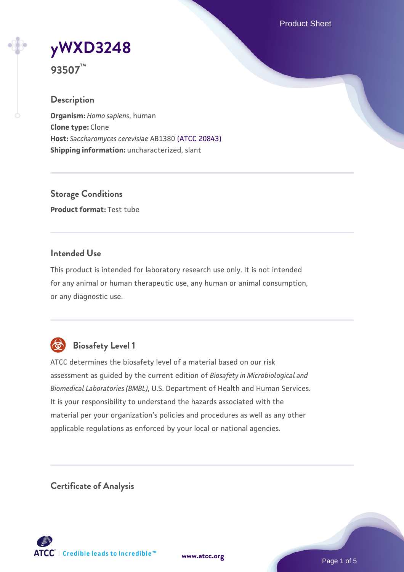Product Sheet

**[yWXD3248](https://www.atcc.org/products/93507)**

**93507™**

### **Description**

**Organism:** *Homo sapiens*, human **Clone type:** Clone **Host:** *Saccharomyces cerevisiae* AB1380 [\(ATCC 20843\)](https://www.atcc.org/products/20843) **Shipping information:** uncharacterized, slant

**Storage Conditions Product format:** Test tube

## **Intended Use**

This product is intended for laboratory research use only. It is not intended for any animal or human therapeutic use, any human or animal consumption, or any diagnostic use.



# **Biosafety Level 1**

ATCC determines the biosafety level of a material based on our risk assessment as guided by the current edition of *Biosafety in Microbiological and Biomedical Laboratories (BMBL)*, U.S. Department of Health and Human Services. It is your responsibility to understand the hazards associated with the material per your organization's policies and procedures as well as any other applicable regulations as enforced by your local or national agencies.

**Certificate of Analysis**

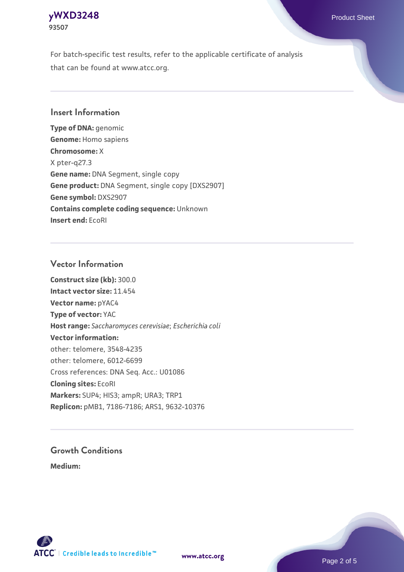## **[yWXD3248](https://www.atcc.org/products/93507)** Product Sheet **93507**

For batch-specific test results, refer to the applicable certificate of analysis that can be found at www.atcc.org.

## **Insert Information**

**Type of DNA:** genomic **Genome:** Homo sapiens **Chromosome:** X X pter-q27.3 **Gene name:** DNA Segment, single copy **Gene product:** DNA Segment, single copy [DXS2907] **Gene symbol:** DXS2907 **Contains complete coding sequence:** Unknown **Insert end:** EcoRI

## **Vector Information**

**Construct size (kb):** 300.0 **Intact vector size:** 11.454 **Vector name:** pYAC4 **Type of vector:** YAC **Host range:** *Saccharomyces cerevisiae*; *Escherichia coli* **Vector information:** other: telomere, 3548-4235 other: telomere, 6012-6699 Cross references: DNA Seq. Acc.: U01086 **Cloning sites:** EcoRI **Markers:** SUP4; HIS3; ampR; URA3; TRP1 **Replicon:** pMB1, 7186-7186; ARS1, 9632-10376

# **Growth Conditions**

**Medium:** 



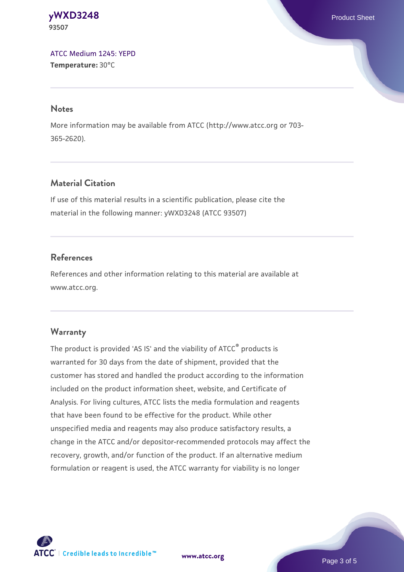#### **[yWXD3248](https://www.atcc.org/products/93507)** Product Sheet **93507**

[ATCC Medium 1245: YEPD](https://www.atcc.org/-/media/product-assets/documents/microbial-media-formulations/1/2/4/5/atcc-medium-1245.pdf?rev=705ca55d1b6f490a808a965d5c072196) **Temperature:** 30°C

#### **Notes**

More information may be available from ATCC (http://www.atcc.org or 703- 365-2620).

# **Material Citation**

If use of this material results in a scientific publication, please cite the material in the following manner: yWXD3248 (ATCC 93507)

# **References**

References and other information relating to this material are available at www.atcc.org.

# **Warranty**

The product is provided 'AS IS' and the viability of ATCC® products is warranted for 30 days from the date of shipment, provided that the customer has stored and handled the product according to the information included on the product information sheet, website, and Certificate of Analysis. For living cultures, ATCC lists the media formulation and reagents that have been found to be effective for the product. While other unspecified media and reagents may also produce satisfactory results, a change in the ATCC and/or depositor-recommended protocols may affect the recovery, growth, and/or function of the product. If an alternative medium formulation or reagent is used, the ATCC warranty for viability is no longer



**[www.atcc.org](http://www.atcc.org)**

Page 3 of 5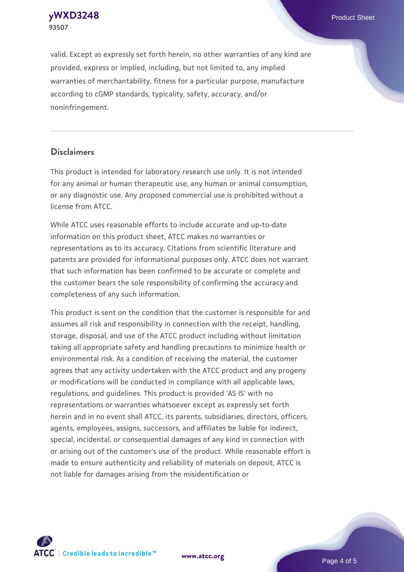**[yWXD3248](https://www.atcc.org/products/93507)** Product Sheet **93507**

valid. Except as expressly set forth herein, no other warranties of any kind are provided, express or implied, including, but not limited to, any implied warranties of merchantability, fitness for a particular purpose, manufacture according to cGMP standards, typicality, safety, accuracy, and/or noninfringement.

#### **Disclaimers**

This product is intended for laboratory research use only. It is not intended for any animal or human therapeutic use, any human or animal consumption, or any diagnostic use. Any proposed commercial use is prohibited without a license from ATCC.

While ATCC uses reasonable efforts to include accurate and up-to-date information on this product sheet, ATCC makes no warranties or representations as to its accuracy. Citations from scientific literature and patents are provided for informational purposes only. ATCC does not warrant that such information has been confirmed to be accurate or complete and the customer bears the sole responsibility of confirming the accuracy and completeness of any such information.

This product is sent on the condition that the customer is responsible for and assumes all risk and responsibility in connection with the receipt, handling, storage, disposal, and use of the ATCC product including without limitation taking all appropriate safety and handling precautions to minimize health or environmental risk. As a condition of receiving the material, the customer agrees that any activity undertaken with the ATCC product and any progeny or modifications will be conducted in compliance with all applicable laws, regulations, and guidelines. This product is provided 'AS IS' with no representations or warranties whatsoever except as expressly set forth herein and in no event shall ATCC, its parents, subsidiaries, directors, officers, agents, employees, assigns, successors, and affiliates be liable for indirect, special, incidental, or consequential damages of any kind in connection with or arising out of the customer's use of the product. While reasonable effort is made to ensure authenticity and reliability of materials on deposit, ATCC is not liable for damages arising from the misidentification or



**[www.atcc.org](http://www.atcc.org)**

Page 4 of 5